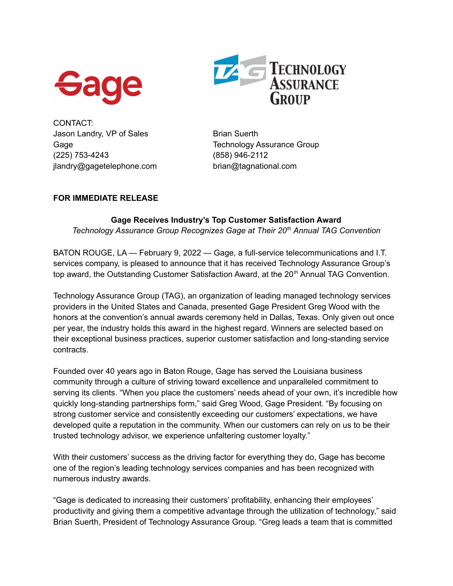



CONTACT: Jason Landry, VP of Sales Brian Suerth (225) 753-4243 (858) 946-2112 jlandry@gagetelephone.com brian@tagnational.com

Gage Gage Technology Assurance Group

## **FOR IMMEDIATE RELEASE**

## **Gage Receives Industry's Top Customer Satisfaction Award** *Technology Assurance Group Recognizes Gage at Their 20 th Annual TAG Convention*

BATON ROUGE, LA — February 9, 2022 — Gage, a full-service telecommunications and I.T. services company, is pleased to announce that it has received Technology Assurance Group's top award, the Outstanding Customer Satisfaction Award, at the 20<sup>th</sup> Annual TAG Convention.

Technology Assurance Group (TAG), an organization of leading managed technology services providers in the United States and Canada, presented Gage President Greg Wood with the honors at the convention's annual awards ceremony held in Dallas, Texas. Only given out once per year, the industry holds this award in the highest regard. Winners are selected based on their exceptional business practices, superior customer satisfaction and long-standing service contracts.

Founded over 40 years ago in Baton Rouge, Gage has served the Louisiana business community through a culture of striving toward excellence and unparalleled commitment to serving its clients. "When you place the customers' needs ahead of your own, it's incredible how quickly long-standing partnerships form," said Greg Wood, Gage President. "By focusing on strong customer service and consistently exceeding our customers' expectations, we have developed quite a reputation in the community. When our customers can rely on us to be their trusted technology advisor, we experience unfaltering customer loyalty."

With their customers' success as the driving factor for everything they do, Gage has become one of the region's leading technology services companies and has been recognized with numerous industry awards.

"Gage is dedicated to increasing their customers' profitability, enhancing their employees' productivity and giving them a competitive advantage through the utilization of technology," said Brian Suerth, President of Technology Assurance Group. "Greg leads a team that is committed